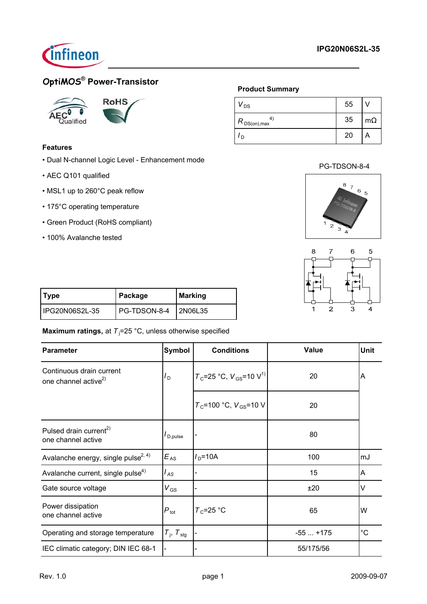

# **OptiMOS® Power-Transistor**



## **Features**

- Dual N-channel Logic Level Enhancement mode
- AEC Q101 qualified
- MSL1 up to 260°C peak reflow
- 175°C operating temperature
- Green Product (RoHS compliant)
- 100% Avalanche tested

## **Product Summary**

| $V_{DS}$              | 55 |           |
|-----------------------|----|-----------|
| 4<br>$R_{DS(on),max}$ | 35 | $m\Omega$ |
| D                     | 20 |           |

## PG-TDSON-8-4





| Type           | Package              | Marking |
|----------------|----------------------|---------|
| IPG20N06S2L-35 | PG-TDSON-8-4 2N06L35 |         |

**Maximum ratings,** at T<sub>j</sub>=25 °C, unless otherwise specified

| <b>Parameter</b>                                             | <b>Symbol</b>               | <b>Conditions</b>                          | <b>Value</b> | <b>Unit</b> |
|--------------------------------------------------------------|-----------------------------|--------------------------------------------|--------------|-------------|
| Continuous drain current<br>one channel active <sup>2)</sup> | ם I                         | $T_c$ =25 °C, $V_{GS}$ =10 V <sup>1)</sup> | 20           | A           |
|                                                              |                             | $T_c$ =100 °C, $V_{GS}$ =10 V              | 20           |             |
| Pulsed drain current <sup>2)</sup><br>one channel active     | I <sub>D,pulse</sub>        |                                            | 80           |             |
| Avalanche energy, single pulse <sup>2, 4)</sup>              | $E_{AS}$                    | $ID=10A$                                   | 100          | mJ          |
| Avalanche current, single pulse <sup>4)</sup>                | $I_{AS}$                    |                                            | 15           | A           |
| Gate source voltage                                          | ${\rm V}_{\rm GS}$          |                                            | ±20          | $\vee$      |
| Power dissipation<br>one channel active                      | $P_{\text{tot}}$            | $T_c$ =25 °C                               | 65           | W           |
| Operating and storage temperature                            | $T_{\rm j}$ , $T_{\rm stg}$ |                                            | $-55+175$    | $^{\circ}C$ |
| IEC climatic category; DIN IEC 68-1                          |                             |                                            | 55/175/56    |             |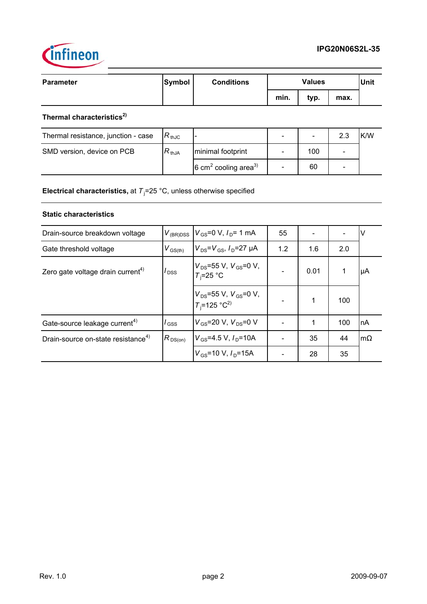



| Parameter | Symbol | <b>Conditions</b> |      | <b>Values</b> |      | Unit |
|-----------|--------|-------------------|------|---------------|------|------|
|           |        |                   | min. | typ.          | max. |      |

# **Thermal characteristics2)**

| Thermal resistance, junction - case | $R_{\,\rm thJC}$ |                                             |     | 2.3                      | K/W |
|-------------------------------------|------------------|---------------------------------------------|-----|--------------------------|-----|
| SMD version, device on PCB          | $R_{thJA}$       | minimal footprint                           | 100 | $\overline{\phantom{0}}$ |     |
|                                     |                  | $6 \text{ cm}^2$ cooling area <sup>3)</sup> | 60  | $\overline{\phantom{0}}$ |     |

**Electrical characteristics,** at T<sub>j</sub>=25 °C, unless otherwise specified

## **Static characteristics**

| Drain-source breakdown voltage                 | $V_{\rm (BR)DSS}$         | $V_{\text{GS}} = 0 \text{ V}$ , $I_{\text{D}} = 1 \text{ mA}$ | 55  |      |     | ν         |
|------------------------------------------------|---------------------------|---------------------------------------------------------------|-----|------|-----|-----------|
| Gate threshold voltage                         | $V_{\rm GS(th)}$          | $V_{DS} = V_{GS}$ , $I_{D} = 27 \mu A$                        | 1.2 | 1.6  | 2.0 |           |
| Zero gate voltage drain current <sup>4)</sup>  | $I_{\text{DSS}}$          | $V_{DS}$ =55 V, $V_{GS}$ =0 V,<br>$T_i = 25$ °C               |     | 0.01 |     | μA        |
|                                                |                           | $V_{DS}$ =55 V, $V_{GS}$ =0 V,<br>$T_i$ =125 °C <sup>2)</sup> |     | 1    | 100 |           |
| Gate-source leakage current <sup>4)</sup>      | $\overline{\mathsf{GSS}}$ | $V_{GS}$ =20 V, $V_{DS}$ =0 V                                 |     | 1    | 100 | <b>nA</b> |
| Drain-source on-state resistance <sup>4)</sup> | $R_{DS(on)}$              | $V_{GS}$ =4.5 V, $I_{D}$ =10A                                 |     | 35   | 44  | $m\Omega$ |
|                                                |                           | $V_{GS}$ =10 V, $I_{D}$ =15A                                  |     | 28   | 35  |           |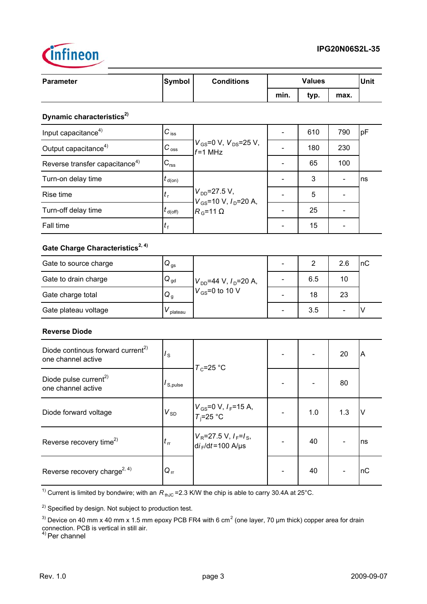

| <b>Parameter</b>                                                    | <b>Symbol</b>              | <b>Conditions</b>                                      |                              | <b>Values</b>  |                          |        |
|---------------------------------------------------------------------|----------------------------|--------------------------------------------------------|------------------------------|----------------|--------------------------|--------|
|                                                                     |                            |                                                        | min.                         | typ.           | max.                     |        |
| Dynamic characteristics <sup>2)</sup>                               |                            |                                                        |                              |                |                          |        |
| Input capacitance <sup>4)</sup>                                     | $C_{\text{iss}}$           |                                                        |                              | 610            | 790                      | pF     |
| Output capacitance <sup>4)</sup>                                    | $C_{\text{oss}}$           | $V_{\rm GS}$ =0 V, $V_{\rm DS}$ =25 V,<br>$f = 1$ MHz  |                              | 180            | 230                      |        |
| Reverse transfer capacitance <sup>4)</sup>                          | $C_{\text{rss}}$           |                                                        |                              | 65             | 100                      |        |
| Turn-on delay time                                                  | $t_{\sf d(on)}$            |                                                        |                              | 3              | $\overline{\phantom{0}}$ | ns     |
| Rise time                                                           | $t_{\rm r}$                | $V_{DD} = 27.5 V,$<br>$V_{GS}$ =10 V, $I_D$ =20 A,     | $\overline{\phantom{0}}$     | 5              |                          |        |
| Turn-off delay time                                                 | $t_{\rm d(Off)}$           | $R_{\rm G}$ =11 $\Omega$                               | $\overline{\phantom{a}}$     | 25             |                          |        |
| Fall time                                                           | $t_{\rm f}$                |                                                        |                              | 15             |                          |        |
| Gate Charge Characteristics <sup>2, 4)</sup>                        |                            |                                                        |                              |                |                          |        |
| Gate to source charge                                               | $Q_{gs}$                   |                                                        | $\blacksquare$               | $\overline{2}$ | 2.6                      | nC     |
| Gate to drain charge                                                | $\bf Q_{gd}$               | $V_{DD}$ =44 V, $I_D$ =20 A,                           | $\qquad \qquad \blacksquare$ | 6.5            | 10                       |        |
| Gate charge total                                                   | $Q_{q}$                    | $V_{GS}$ =0 to 10 V                                    |                              | 18             | 23                       |        |
| Gate plateau voltage                                                | $V_{\rm plateau}$          |                                                        |                              | 3.5            | L.                       | $\vee$ |
| <b>Reverse Diode</b>                                                |                            |                                                        |                              |                |                          |        |
| Diode continous forward current <sup>2)</sup><br>one channel active | $I_{\rm S}$                |                                                        |                              |                | 20                       | A      |
| Diode pulse current <sup>2)</sup><br>one channel active             | $I_{S, pulse}$             | $T_c = 25$ °C                                          |                              |                | 80                       |        |
| Diode forward voltage                                               | $V_{SD}$                   | $V_{GS}$ =0 V, $I_F$ =15 A,<br>$T_i = 25$ °C           |                              | 1.0            | 1.3                      | V      |
| Reverse recovery time <sup>2)</sup>                                 | $t_{\rm rr}$               | $V_R$ =27.5 V, $I_F$ = $I_S$ ,<br>$di_F/dt = 100$ A/µs |                              | 40             |                          | ns     |
| Reverse recovery charge <sup>2, 4)</sup>                            | $\mathsf{Q}_{\,\text{rr}}$ |                                                        |                              | 40             |                          | пC     |

<sup>1)</sup> Current is limited by bondwire; with an  $R_{thJC}$  =2.3 K/W the chip is able to carry 30.4A at 25°C.

<sup>2)</sup> Specified by design. Not subject to production test.

<sup>3)</sup> Device on 40 mm x 40 mm x 1.5 mm epoxy PCB FR4 with 6 cm<sup>2</sup> (one layer, 70 µm thick) copper area for drain connection. PCB is vertical in still air.

<sup>4)</sup> Per channel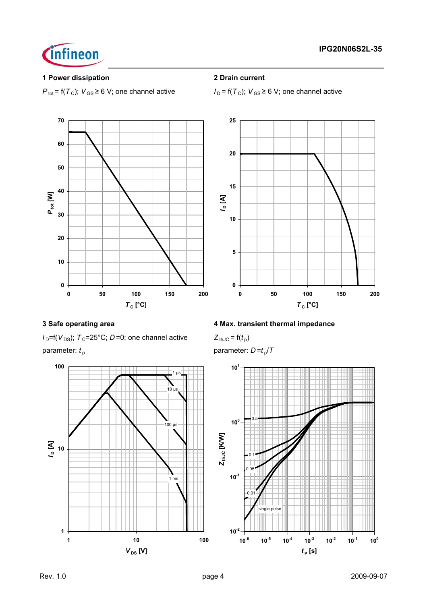

## **1 Power dissipation 2 Drain current**



 $P_{\text{tot}} = f(T_C)$ ;  $V_{\text{GS}} \ge 6$  V; one channel active  $I_D = f(T_C)$ ;  $V_{\text{GS}} \ge 6$  V; one channel active



 $I_D=$ f( $V_{DS}$ );  $T_C=$  25°C; *D* = 0; one channel active  $Z_{thJC} = f(t_p)$ parameter:  $t_p$  parameter:  $D = t_p/T$ 



## **3 Safe operating area 4 Max. transient thermal impedance**

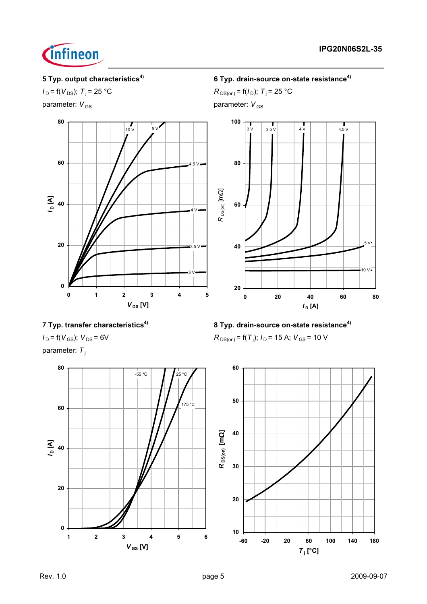



parameter:  $V_{\text{GS}}$  parameter:  $V_{\text{GS}}$ 



## **5 Typ. output characteristics4) 6 Typ. drain-source on-state resistance4)**

*I*<sub>D</sub> = f(*V*<sub>DS</sub>); *T*<sub>j</sub> = 25 °C *R*<sub>DS(on)</sub> = f(*I*<sub>D</sub>); *T*<sub>j</sub> = 25 °C



 $R_{DS(on)}$  = f(T<sub>j</sub>);  $I_D$  = 15 A;  $V_{GS}$  = 10 V

**7 Typ. transfer characteristics4) 8 Typ. drain-source on-state resistance4)**

 $I_D = f(V_{GS})$ ;  $V_{DS} = 6V$ 

parameter: T<sub>i</sub>

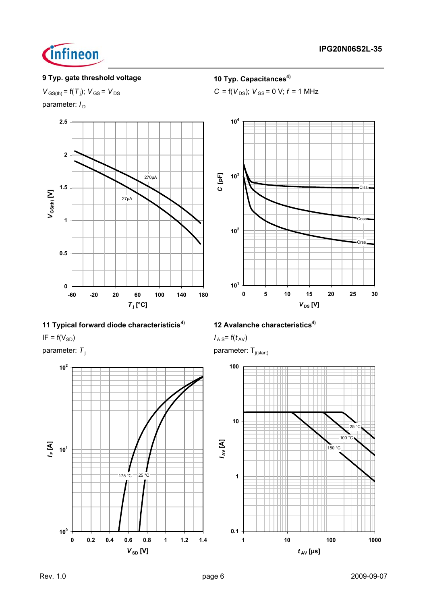

## **9 Typ. gate threshold voltage 10 Typ. Capacitances<sup>4)</sup>**

 $C = f(V_{DS})$ ;  $V_{GS} = 0$  V;  $f = 1$  MHz

 $V_{\text{GS(th)}} = f(T_i)$ ;  $V_{\text{GS}} = V_{\text{DS}}$ 

parameter:  $I_D$ 







**104**



parameter:  $T_i$  parameter:  $T_{i(\text{start})}$ 

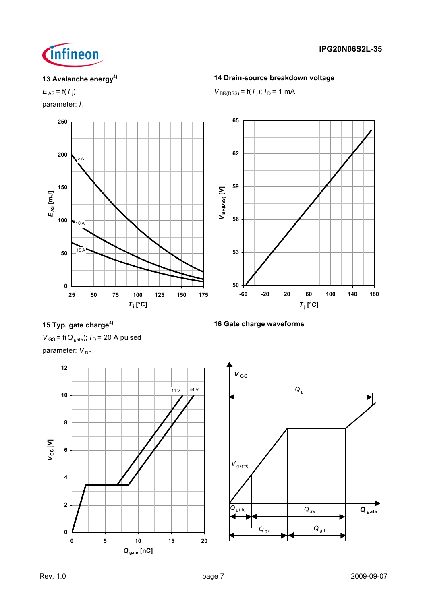

 $E_{AS}$  =  $f(T_i)$ 

parameter:  $I_D$ 



# **13 Avalanche energy4) 14 Drain-source breakdown voltage**

)  $V_{\text{BR(DSS)}} = f(T_i); I_D = 1 \text{ mA}$ 



**15 Typ. gate charge4) 16 Gate charge waveforms**

 $V_{\text{GS}}$  = f( $Q_{\text{gate}}$ );  $I_{\text{D}}$  = 20 A pulsed parameter:  $V_{DD}$ 



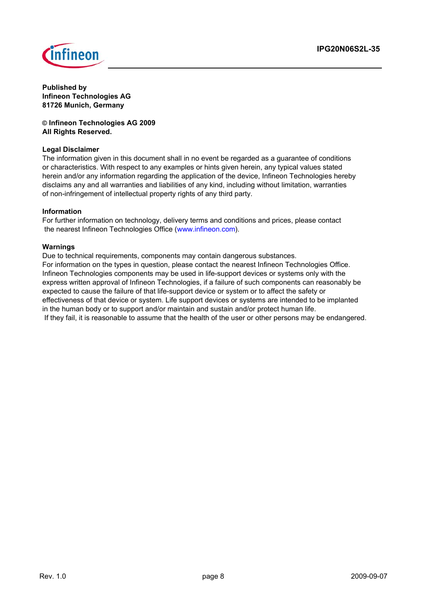

**Published by Infineon Technologies AG 81726 Munich, Germany**

**© Infineon Technologies AG 2009 All Rights Reserved.**

## **Legal Disclaimer**

The information given in this document shall in no event be regarded as a guarantee of conditions or characteristics. With respect to any examples or hints given herein, any typical values stated herein and/or any information regarding the application of the device, Infineon Technologies hereby disclaims any and all warranties and liabilities of any kind, including without limitation, warranties of non-infringement of intellectual property rights of any third party.

### **Information**

For further information on technology, delivery terms and conditions and prices, please contact the nearest Infineon Technologies Office (www.infineon.com).

## **Warnings**

Due to technical requirements, components may contain dangerous substances. For information on the types in question, please contact the nearest Infineon Technologies Office. Infineon Technologies components may be used in life-support devices or systems only with the express written approval of Infineon Technologies, if a failure of such components can reasonably be expected to cause the failure of that life-support device or system or to affect the safety or effectiveness of that device or system. Life support devices or systems are intended to be implanted in the human body or to support and/or maintain and sustain and/or protect human life. If they fail, it is reasonable to assume that the health of the user or other persons may be endangered.